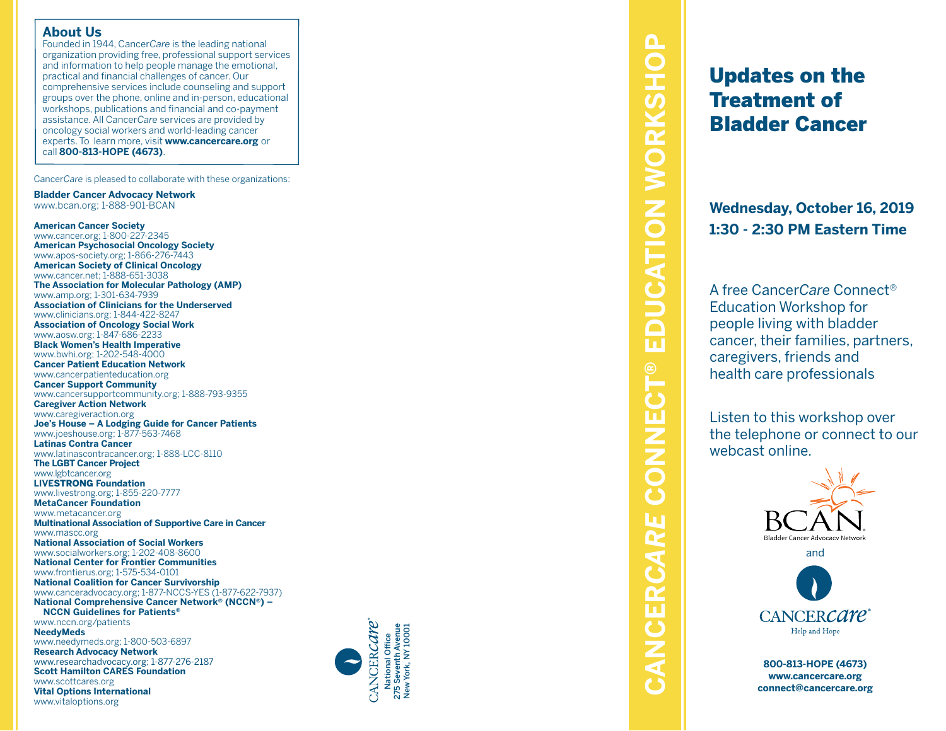# **About Us**

Founded in 1944, Cancer*Care* is the leading national organization providing free, professional support services and information to help people manage the emotional, practical and financial challenges of cancer. Our comprehensive services include counseling and support groups over the phone, online and in-person, educational workshops, publications and financial and co-payment assistance. All Cancer*Care* services are provided by oncology social workers and world-leading cancer experts. To learn more, visit **www.cancercare.org** or call **800-813-HOPE (4673)** .

Cancer*Care* is pleased to collaborate with these organizations:

**Bladder Cancer Advocacy Network** www.bcan.org; 1-888-901-BCAN

**American Cancer Society** www.cancer.org; 1-800-227-2345 **American Psychosocial Oncology Society** www.apos-society.org; 1-866-276-7443 **American Society of Clinical Oncology** www.cancer.net; 1-888-651-3038 **The Association for Molecular Pathology (AMP)** www.amp.org; 1-301-634-7939 **Association of Clinicians for the Underserved** www.clinicians.org; 1-844-422-8247 **Association of Oncology Social Work** www.aosw.org; 1-847-686-2233 **Black Women's Health Imperative** www.bwhi.org; 1-202-548-4000 **Cancer Patient Education Network** www.cancerpatienteducation.org **Cancer Support Community** www.cancersupportcommunity.org; 1-888-793-9355 **Caregiver Action Network** www.caregiveraction.org **Joe's House – A Lodging Guide for Cancer Patients** www.joeshouse.org; 1-877-563-7468 **Latinas Contra Cancer** www.latinascontracancer.org; 1-888-LCC-8110 **The LGBT Cancer Project** www.lgbtcancer.org **LIVE**STRONG **Foundation** www.livestrong.org; 1-855-220-7777 **MetaCancer Foundation** www.metacancer.org **Multinational Association of Supportive Care in Cancer** www.mascc.org **National Association of Social Workers** www.socialworkers.org; 1-202-408-8600 **National Center for Frontier Communities** www.frontierus.org; 1-575-534-0101 **National Coalition for Cancer Survivorship** www.canceradvocacy.org; 1-877-NCCS-YES (1-877-622-7937) **National Comprehensive Cancer Network ® (NCCN ®) – NCCN Guidelines for Patients ®** www.nccn.org/patients **NeedyMeds** www.needymeds.org; 1-800-503-6897

**Research Advocacy Network** www.researchadvocacy.org; 1-877-276-2187 **Scott Hamilton CARES Foundation** www.scottcares.org **Vital Options International** www.vitaloptions.org



# **CONNECT<sup>®</sup> EDUCATION WORKSHOP CANCER***CARE* **CONNECT® EDUCATION WORKSHOP** CANCERCARE

# Updates on the Treatment of Bladder Cancer

**Wednesday, October 16, 2019 1:30 - 2:30 PM Eastern Time**

A free Cancer*Care* Connect ® Education Workshop for people living with bladder cancer, their families, partners, caregivers, friends and health care professionals

Listen to this workshop over the telephone or connect to our webcast online.



**800-813-HOPE (4673) www.cancercare.org connect@cancercare.org**